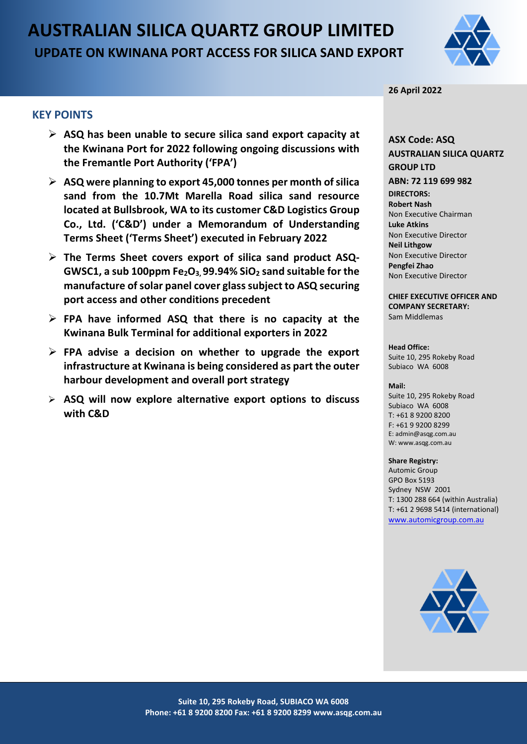# **AUSTRALIAN SILICA QUARTZ GROUP LIMITED UPDATE ON KWINANA PORT ACCESS FOR SILICA SAND EXPORT**



#### **26 April 2022**

## **KEY POINTS**

- **ASQ has been unable to secure silica sand export capacity at the Kwinana Port for 2022 following ongoing discussions with the Fremantle Port Authority ('FPA')**
- **ASQ were planning to export 45,000 tonnes per month of silica sand from the 10.7Mt Marella Road silica sand resource located at Bullsbrook, WA to its customer C&D Logistics Group Co., Ltd. ('C&D') under a Memorandum of Understanding Terms Sheet ('Terms Sheet') executed in February 2022**
- **The Terms Sheet covers export of silica sand product ASQ-GWSC1, a sub 100ppm Fe2O3, 99.94% SiO2 sand suitable for the manufacture of solar panel cover glasssubject to ASQ securing port access and other conditions precedent**
- **FPA have informed ASQ that there is no capacity at the Kwinana Bulk Terminal for additional exporters in 2022**
- **FPA advise a decision on whether to upgrade the export infrastructure at Kwinana is being considered as part the outer harbour development and overall port strategy**
- **ASQ will now explore alternative export options to discuss with C&D**

### **ASX Code: ASQ AUSTRALIAN SILICA QUARTZ GROUP LTD ABN: 72 119 699 982 DIRECTORS: Robert Nash** Non Executive Chairman **Luke Atkins**

Non Executive Director **Neil Lithgow** Non Executive Director **Pengfei Zhao** Non Executive Director

#### **CHIEF EXECUTIVE OFFICER AND COMPANY SECRETARY:** Sam Middlemas

#### **Head Office:**

Suite 10, 295 Rokeby Road Subiaco WA 6008

#### **Mail:**

Suite 10, 295 Rokeby Road Subiaco WA 6008  $T: +61892008200$ F: +61 9 9200 8299 E: admin@asqg.com.au W: www.asqg.com.au

#### **Share Registry:**

Automic Group GPO Box 5193 Sydney NSW 2001 T: 1300 288 664 (within Australia) T: +61 2 9698 5414 (international) [www.automicgroup.com.au](http://www.automicgroup.com.au/)

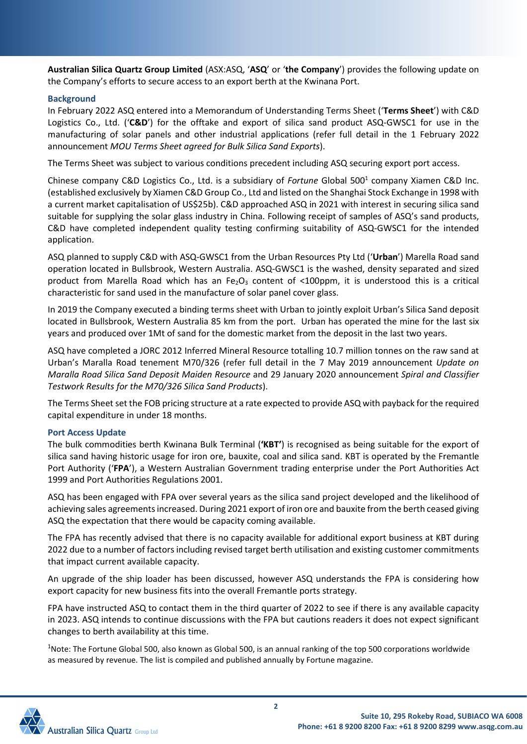**Australian Silica Quartz Group Limited** (ASX:ASQ, '**ASQ**' or '**the Company**') provides the following update on the Company's efforts to secure access to an export berth at the Kwinana Port.

#### **Background**

In February 2022 ASQ entered into a Memorandum of Understanding Terms Sheet ('**Terms Sheet**') with C&D Logistics Co., Ltd. ('**C&D**') for the offtake and export of silica sand product ASQ-GWSC1 for use in the manufacturing of solar panels and other industrial applications (refer full detail in the 1 February 2022 announcement *MOU Terms Sheet agreed for Bulk Silica Sand Exports*).

The Terms Sheet was subject to various conditions precedent including ASQ securing export port access.

Chinese company C&D Logistics Co., Ltd. is a subsidiary of *Fortune* Global 5001 company Xiamen C&D Inc. (established exclusively by Xiamen C&D Group Co., Ltd and listed on the Shanghai Stock Exchange in 1998 with a current market capitalisation of US\$25b). C&D approached ASQ in 2021 with interest in securing silica sand suitable for supplying the solar glass industry in China. Following receipt of samples of ASQ's sand products, C&D have completed independent quality testing confirming suitability of ASQ-GWSC1 for the intended application.

ASQ planned to supply C&D with ASQ-GWSC1 from the Urban Resources Pty Ltd ('**Urban**') Marella Road sand operation located in Bullsbrook, Western Australia. ASQ-GWSC1 is the washed, density separated and sized product from Marella Road which has an Fe<sub>2</sub>O<sub>3</sub> content of <100ppm, it is understood this is a critical characteristic for sand used in the manufacture of solar panel cover glass.

In 2019 the Company executed a binding terms sheet with Urban to jointly exploit Urban's Silica Sand deposit located in Bullsbrook, Western Australia 85 km from the port. Urban has operated the mine for the last six years and produced over 1Mt of sand for the domestic market from the deposit in the last two years.

ASQ have completed a JORC 2012 Inferred Mineral Resource totalling 10.7 million tonnes on the raw sand at Urban's Maralla Road tenement M70/326 (refer full detail in the 7 May 2019 announcement *Update on Maralla Road Silica Sand Deposit Maiden Resource* and 29 January 2020 announcement *Spiral and Classifier Testwork Results for the M70/326 Silica Sand Products*).

The Terms Sheet set the FOB pricing structure at a rate expected to provide ASQ with payback for the required capital expenditure in under 18 months.

### **Port Access Update**

The bulk commodities berth Kwinana Bulk Terminal (**'KBT'**) is recognised as being suitable for the export of silica sand having historic usage for iron ore, bauxite, coal and silica sand. KBT is operated by the Fremantle Port Authority ('**FPA**'), a Western Australian Government trading enterprise under the Port Authorities Act 1999 and Port Authorities Regulations 2001.

ASQ has been engaged with FPA over several years as the silica sand project developed and the likelihood of achieving sales agreements increased. During 2021 export of iron ore and bauxite from the berth ceased giving ASQ the expectation that there would be capacity coming available.

The FPA has recently advised that there is no capacity available for additional export business at KBT during 2022 due to a number of factors including revised target berth utilisation and existing customer commitments that impact current available capacity.

An upgrade of the ship loader has been discussed, however ASQ understands the FPA is considering how export capacity for new business fits into the overall Fremantle ports strategy.

FPA have instructed ASQ to contact them in the third quarter of 2022 to see if there is any available capacity in 2023. ASQ intends to continue discussions with the FPA but cautions readers it does not expect significant changes to berth availability at this time.

<sup>1</sup>Note: The Fortune Global 500, also known as Global 500, is an annual ranking of the top 500 corporations worldwide as measured by revenue. The list is compiled and published annually by Fortune magazine.

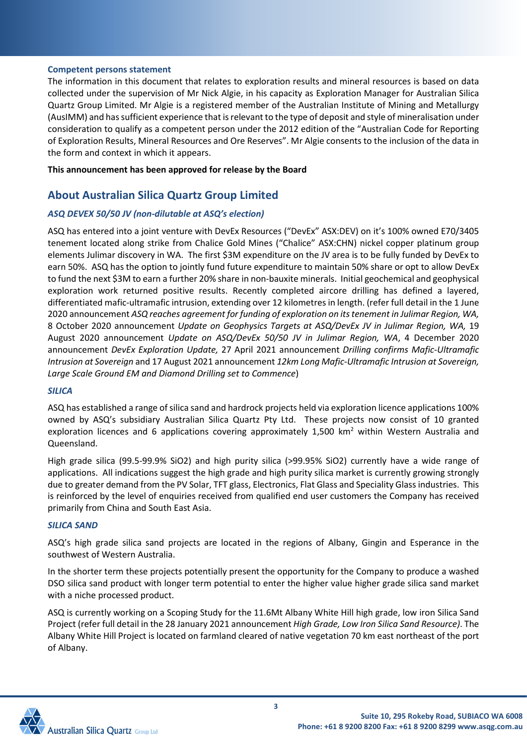#### **Competent persons statement**

The information in this document that relates to exploration results and mineral resources is based on data collected under the supervision of Mr Nick Algie, in his capacity as Exploration Manager for Australian Silica Quartz Group Limited. Mr Algie is a registered member of the Australian Institute of Mining and Metallurgy (AusIMM) and has sufficient experience that is relevant to the type of deposit and style of mineralisation under consideration to qualify as a competent person under the 2012 edition of the "Australian Code for Reporting of Exploration Results, Mineral Resources and Ore Reserves". Mr Algie consents to the inclusion of the data in the form and context in which it appears.

**This announcement has been approved for release by the Board**

# **About Australian Silica Quartz Group Limited**

# *ASQ DEVEX 50/50 JV (non-dilutable at ASQ's election)*

ASQ has entered into a joint venture with DevEx Resources ("DevEx" ASX:DEV) on it's 100% owned E70/3405 tenement located along strike from Chalice Gold Mines ("Chalice" ASX:CHN) nickel copper platinum group elements Julimar discovery in WA. The first \$3M expenditure on the JV area is to be fully funded by DevEx to earn 50%. ASQ has the option to jointly fund future expenditure to maintain 50% share or opt to allow DevEx to fund the next \$3M to earn a further 20% share in non-bauxite minerals. Initial geochemical and geophysical exploration work returned positive results. Recently completed aircore drilling has defined a layered, differentiated mafic-ultramafic intrusion, extending over 12 kilometres in length. (refer full detail in the 1 June 2020 announcement *ASQ reaches agreement for funding of exploration on its tenement in Julimar Region, WA,*  8 October 2020 announcement *Update on Geophysics Targets at ASQ/DevEx JV in Julimar Region, WA,* 19 August 2020 announcement *Update on ASQ/DevEx 50/50 JV in Julimar Region, WA*, 4 December 2020 announcement *DevEx Exploration Update,* 27 April 2021 announcement *Drilling confirms Mafic-Ultramafic Intrusion at Sovereign* and 17 August 2021 announcement *12km Long Mafic-Ultramafic Intrusion at Sovereign, Large Scale Ground EM and Diamond Drilling set to Commence*)

#### *SILICA*

ASQ has established a range of silica sand and hardrock projects held via exploration licence applications 100% owned by ASQ's subsidiary Australian Silica Quartz Pty Ltd. These projects now consist of 10 granted exploration licences and 6 applications covering approximately 1,500 km<sup>2</sup> within Western Australia and Queensland.

High grade silica (99.5-99.9% SiO2) and high purity silica (>99.95% SiO2) currently have a wide range of applications. All indications suggest the high grade and high purity silica market is currently growing strongly due to greater demand from the PV Solar, TFT glass, Electronics, Flat Glass and Speciality Glass industries. This is reinforced by the level of enquiries received from qualified end user customers the Company has received primarily from China and South East Asia.

### *SILICA SAND*

ASQ's high grade silica sand projects are located in the regions of Albany, Gingin and Esperance in the southwest of Western Australia.

In the shorter term these projects potentially present the opportunity for the Company to produce a washed DSO silica sand product with longer term potential to enter the higher value higher grade silica sand market with a niche processed product.

ASQ is currently working on a Scoping Study for the 11.6Mt Albany White Hill high grade, low iron Silica Sand Project (refer full detail in the 28 January 2021 announcement *High Grade, Low Iron Silica Sand Resource)*. The Albany White Hill Project is located on farmland cleared of native vegetation 70 km east northeast of the port of Albany.

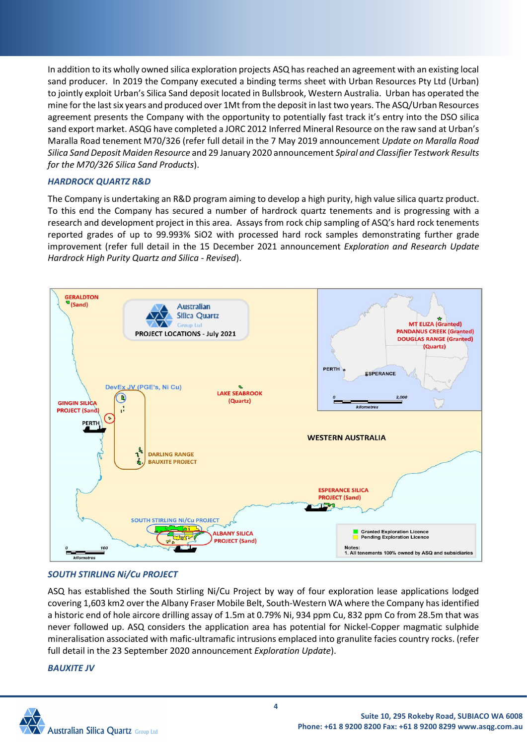In addition to its wholly owned silica exploration projects ASQ has reached an agreement with an existing local sand producer. In 2019 the Company executed a binding terms sheet with Urban Resources Pty Ltd (Urban) to jointly exploit Urban's Silica Sand deposit located in Bullsbrook, Western Australia. Urban has operated the mine for the last six years and produced over 1Mt from the deposit in last two years. The ASQ/Urban Resources agreement presents the Company with the opportunity to potentially fast track it's entry into the DSO silica sand export market. ASQG have completed a JORC 2012 Inferred Mineral Resource on the raw sand at Urban's Maralla Road tenement M70/326 (refer full detail in the 7 May 2019 announcement *Update on Maralla Road Silica Sand Deposit Maiden Resource* and 29 January 2020 announcement *Spiral and Classifier Testwork Results for the M70/326 Silica Sand Products*).

#### *HARDROCK QUARTZ R&D*

The Company is undertaking an R&D program aiming to develop a high purity, high value silica quartz product. To this end the Company has secured a number of hardrock quartz tenements and is progressing with a research and development project in this area. Assays from rock chip sampling of ASQ's hard rock tenements reported grades of up to 99.993% SiO2 with processed hard rock samples demonstrating further grade improvement (refer full detail in the 15 December 2021 announcement *Exploration and Research Update Hardrock High Purity Quartz and Silica - Revised*).



### *SOUTH STIRLING Ni/Cu PROJECT*

ASQ has established the South Stirling Ni/Cu Project by way of four exploration lease applications lodged covering 1,603 km2 over the Albany Fraser Mobile Belt, South-Western WA where the Company has identified a historic end of hole aircore drilling assay of 1.5m at 0.79% Ni, 934 ppm Cu, 832 ppm Co from 28.5m that was never followed up. ASQ considers the application area has potential for Nickel-Copper magmatic sulphide mineralisation associated with mafic-ultramafic intrusions emplaced into granulite facies country rocks. (refer full detail in the 23 September 2020 announcement *Exploration Update*).

#### *BAUXITE JV*